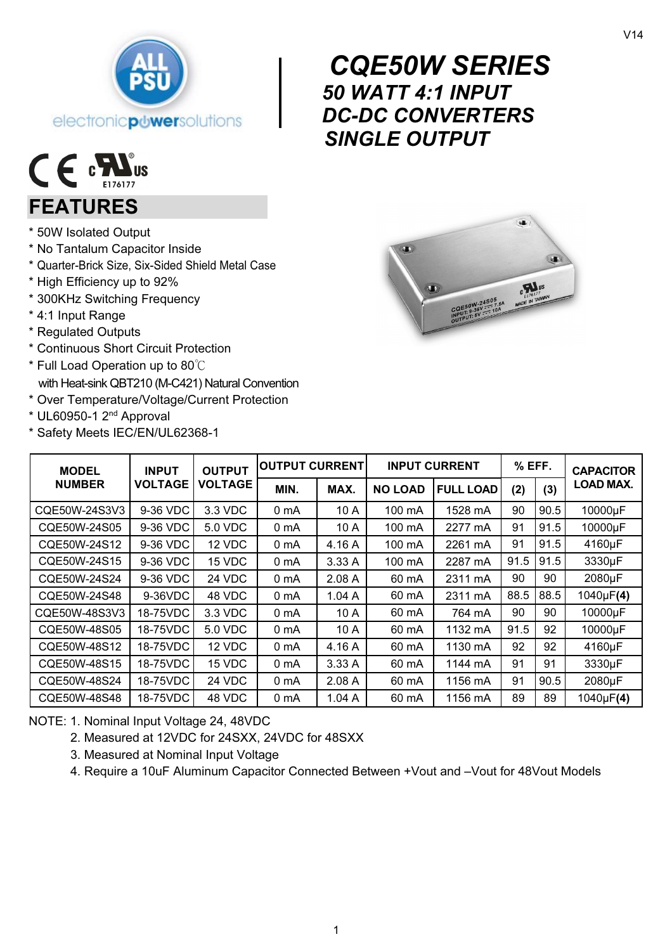



## FEATURES

- \* 50W Isolated Output
- \* No Tantalum Capacitor Inside
- \* Quarter-Brick Size, Six-Sided Shield Metal Case
- \* High Efficiency up to 92%
- \* 300KHz Switching Frequency
- \* 4:1 Input Range
- \* Regulated Outputs
- \* Continuous Short Circuit Protection
- \* Full Load Operation up to 80℃ with Heat-sink QBT210 (M-C421) Natural Convention
- \* Over Temperature/Voltage/Current Protection
- \* UL60950-1 2nd Approval
- \* Safety Meets IEC/EN/UL62368-1



| <b>MODEL</b>  | <b>INPUT</b><br><b>VOLTAGE</b> | <b>OUTPUT</b><br>VOLTAGE | <b>OUTPUT CURRENT</b> |        | <b>INPUT CURRENT</b> |                  | % EFF. |      | <b>CAPACITOR</b> |
|---------------|--------------------------------|--------------------------|-----------------------|--------|----------------------|------------------|--------|------|------------------|
| <b>NUMBER</b> |                                |                          | MIN.                  | MAX.   | <b>NO LOAD</b>       | <b>FULL LOAD</b> | (2)    | (3)  | LOAD MAX.        |
| CQE50W-24S3V3 | 9-36 VDC                       | 3.3 VDC                  | 0 mA                  | 10 A   | 100 mA               | 1528 mA          | 90     | 90.5 | 10000µF          |
| CQE50W-24S05  | 9-36 VDC                       | 5.0 VDC                  | 0 <sub>m</sub> A      | 10 A   | 100 mA               | 2277 mA          | 91     | 91.5 | 10000µF          |
| CQE50W-24S12  | 9-36 VDC                       | 12 VDC                   | 0 <sub>m</sub> A      | 4.16 A | 100 mA               | 2261 mA          | 91     | 91.5 | 4160µF           |
| CQE50W-24S15  | 9-36 VDC                       | 15 VDC                   | 0 mA                  | 3.33A  | 100 mA               | 2287 mA          | 91.5   | 91.5 | 3330µF           |
| CQE50W-24S24  | 9-36 VDC                       | 24 VDC                   | 0 <sub>m</sub> A      | 2.08A  | 60 mA                | 2311 mA          | 90     | 90   | 2080µF           |
| CQE50W-24S48  | 9-36VDC                        | 48 VDC                   | 0 <sub>m</sub> A      | 1.04A  | 60 mA                | 2311 mA          | 88.5   | 88.5 | 1040µF(4)        |
| CQE50W-48S3V3 | 18-75VDC                       | 3.3 VDC                  | 0 <sub>m</sub> A      | 10 A   | 60 mA                | 764 mA           | 90     | 90   | 10000µF          |
| CQE50W-48S05  | 18-75VDC                       | 5.0 VDC                  | 0 <sub>m</sub> A      | 10 A   | 60 mA                | 1132 mA          | 91.5   | 92   | 10000µF          |
| CQE50W-48S12  | 18-75VDC                       | 12 VDC                   | 0 <sub>m</sub> A      | 4.16 A | 60 mA                | 1130 mA          | 92     | 92   | 4160µF           |
| CQE50W-48S15  | 18-75VDC                       | 15 VDC                   | 0 <sub>m</sub> A      | 3.33 A | 60 mA                | 1144 mA          | 91     | 91   | 3330µF           |
| CQE50W-48S24  | 18-75VDC                       | 24 VDC                   | 0 <sub>m</sub> A      | 2.08A  | 60 mA                | 1156 mA          | 91     | 90.5 | 2080µF           |
| CQE50W-48S48  | 18-75VDC                       | 48 VDC                   | 0 mA                  | 1.04A  | 60 mA                | 1156 mA          | 89     | 89   | 1040µF(4)        |

NOTE: 1. Nominal Input Voltage 24, 48VDC

- 2. Measured at 12VDC for 24SXX, 24VDC for 48SXX
- 3. Measured at Nominal Input Voltage
- 4. Require a 10uF Aluminum Capacitor Connected Between +Vout and –Vout for 48Vout Models